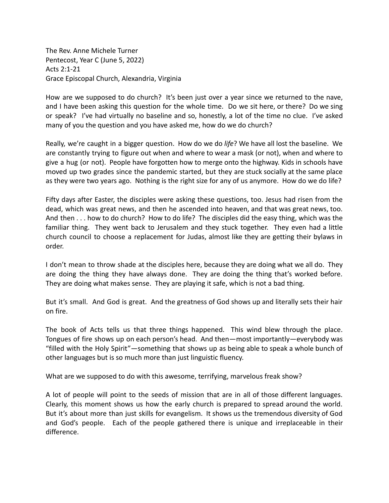The Rev. Anne Michele Turner Pentecost, Year C (June 5, 2022) Acts 2:1-21 Grace Episcopal Church, Alexandria, Virginia

How are we supposed to do church? It's been just over a year since we returned to the nave, and I have been asking this question for the whole time. Do we sit here, or there? Do we sing or speak? I've had virtually no baseline and so, honestly, a lot of the time no clue. I've asked many of you the question and you have asked me, how do we do church?

Really, we're caught in a bigger question. How do we do *life*? We have all lost the baseline. We are constantly trying to figure out when and where to wear a mask (or not), when and where to give a hug (or not). People have forgotten how to merge onto the highway. Kids in schools have moved up two grades since the pandemic started, but they are stuck socially at the same place as they were two years ago. Nothing is the right size for any of us anymore. How do we do life?

Fifty days after Easter, the disciples were asking these questions, too. Jesus had risen from the dead, which was great news, and then he ascended into heaven, and that was great news, too. And then . . . how to do church? How to do life? The disciples did the easy thing, which was the familiar thing. They went back to Jerusalem and they stuck together. They even had a little church council to choose a replacement for Judas, almost like they are getting their bylaws in order.

I don't mean to throw shade at the disciples here, because they are doing what we all do. They are doing the thing they have always done. They are doing the thing that's worked before. They are doing what makes sense. They are playing it safe, which is not a bad thing.

But it's small. And God is great. And the greatness of God shows up and literally sets their hair on fire.

The book of Acts tells us that three things happened. This wind blew through the place. Tongues of fire shows up on each person's head. And then—most importantly—everybody was "filled with the Holy Spirit"—something that shows up as being able to speak a whole bunch of other languages but is so much more than just linguistic fluency.

What are we supposed to do with this awesome, terrifying, marvelous freak show?

A lot of people will point to the seeds of mission that are in all of those different languages. Clearly, this moment shows us how the early church is prepared to spread around the world. But it's about more than just skills for evangelism. It shows us the tremendous diversity of God and God's people. Each of the people gathered there is unique and irreplaceable in their difference.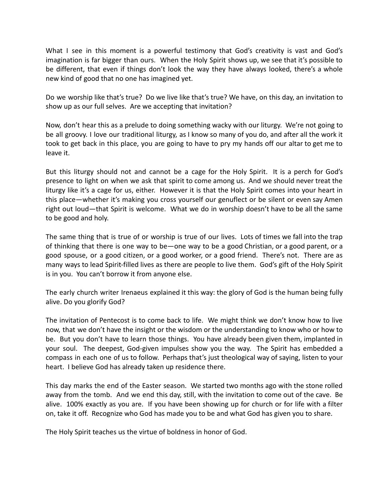What I see in this moment is a powerful testimony that God's creativity is vast and God's imagination is far bigger than ours. When the Holy Spirit shows up, we see that it's possible to be different, that even if things don't look the way they have always looked, there's a whole new kind of good that no one has imagined yet.

Do we worship like that's true? Do we live like that's true? We have, on this day, an invitation to show up as our full selves. Are we accepting that invitation?

Now, don't hear this as a prelude to doing something wacky with our liturgy. We're not going to be all groovy. I love our traditional liturgy, as I know so many of you do, and after all the work it took to get back in this place, you are going to have to pry my hands off our altar to get me to leave it.

But this liturgy should not and cannot be a cage for the Holy Spirit. It is a perch for God's presence to light on when we ask that spirit to come among us. And we should never treat the liturgy like it's a cage for us, either. However it is that the Holy Spirit comes into your heart in this place—whether it's making you cross yourself our genuflect or be silent or even say Amen right out loud—that Spirit is welcome. What we do in worship doesn't have to be all the same to be good and holy.

The same thing that is true of or worship is true of our lives. Lots of times we fall into the trap of thinking that there is one way to be—one way to be a good Christian, or a good parent, or a good spouse, or a good citizen, or a good worker, or a good friend. There's not. There are as many ways to lead Spirit-filled lives as there are people to live them. God's gift of the Holy Spirit is in you. You can't borrow it from anyone else.

The early church writer Irenaeus explained it this way: the glory of God is the human being fully alive. Do you glorify God?

The invitation of Pentecost is to come back to life. We might think we don't know how to live now, that we don't have the insight or the wisdom or the understanding to know who or how to be. But you don't have to learn those things. You have already been given them, implanted in your soul. The deepest, God-given impulses show you the way. The Spirit has embedded a compass in each one of us to follow. Perhaps that's just theological way of saying, listen to your heart. I believe God has already taken up residence there.

This day marks the end of the Easter season. We started two months ago with the stone rolled away from the tomb. And we end this day, still, with the invitation to come out of the cave. Be alive. 100% exactly as you are. If you have been showing up for church or for life with a filter on, take it off. Recognize who God has made you to be and what God has given you to share.

The Holy Spirit teaches us the virtue of boldness in honor of God.